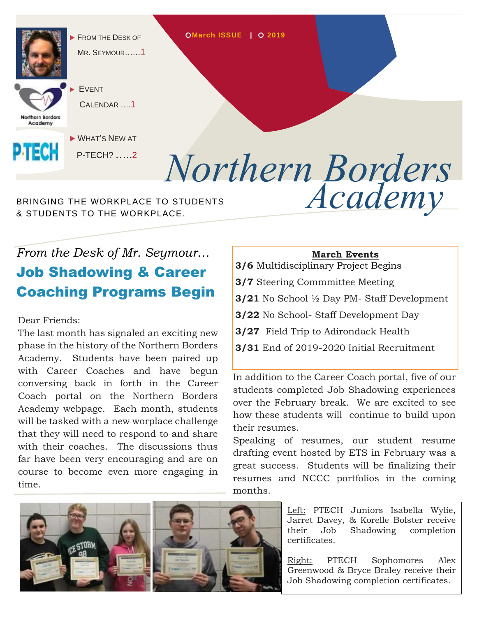

FVFNT



CALENDAR ….1



WHAT'S NEW AT

P-TECH? …..2

## *Northern Borders* BRINGING THE WORKPLACE TO STUDENTS & STUDENTS TO THE WORKPLACE. *Academy*

**March ISSUE | 2019** 

## *From the Desk of Mr. Seymour…* Job Shadowing & Career Coaching Programs Begin

Dear Friends:

The last month has signaled an exciting new phase in the history of the Northern Borders Academy. Students have been paired up with Career Coaches and have begun conversing back in forth in the Career Coach portal on the Northern Borders Academy webpage. Each month, students will be tasked with a new worplace challenge that they will need to respond to and share with their coaches. The discussions thus far have been very encouraging and are on course to become even more engaging in time.

## **March Events**

**3/6** Multidisciplinary Project Begins

**3/7** Steering Commmittee Meeting

**3/21** No School ½ Day PM- Staff Development

**3/22** No School- Staff Development Day

**3/27** Field Trip to Adirondack Health

**3/31** End of 2019-2020 Initial Recruitment

In addition to the Career Coach portal, five of our students completed Job Shadowing experiences over the February break. We are excited to see how these students will continue to build upon their resumes.

Speaking of resumes, our student resume drafting event hosted by ETS in February was a great success. Students will be finalizing their resumes and NCCC portfolios in the coming months.



Left: PTECH Juniors Isabella Wylie, Jarret Davey, & Korelle Bolster receive their Job Shadowing completion certificates.

Right: PTECH Sophomores Alex Greenwood & Bryce Braley receive their Job Shadowing completion certificates.